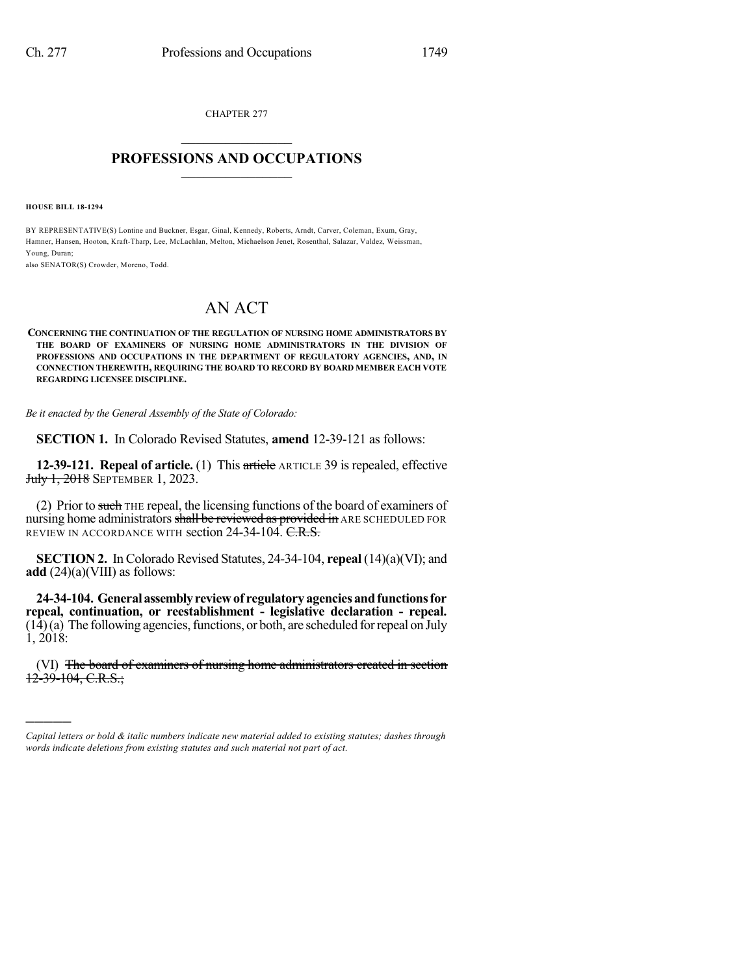CHAPTER 277  $\mathcal{L}_\text{max}$  . The set of the set of the set of the set of the set of the set of the set of the set of the set of the set of the set of the set of the set of the set of the set of the set of the set of the set of the set

## **PROFESSIONS AND OCCUPATIONS**  $\frac{1}{2}$  ,  $\frac{1}{2}$  ,  $\frac{1}{2}$  ,  $\frac{1}{2}$  ,  $\frac{1}{2}$  ,  $\frac{1}{2}$  ,  $\frac{1}{2}$

**HOUSE BILL 18-1294**

)))))

BY REPRESENTATIVE(S) Lontine and Buckner, Esgar, Ginal, Kennedy, Roberts, Arndt, Carver, Coleman, Exum, Gray, Hamner, Hansen, Hooton, Kraft-Tharp, Lee, McLachlan, Melton, Michaelson Jenet, Rosenthal, Salazar, Valdez, Weissman, Young, Duran;

also SENATOR(S) Crowder, Moreno, Todd.

## AN ACT

**CONCERNING THE CONTINUATION OF THE REGULATION OF NURSING HOME ADMINISTRATORS BY THE BOARD OF EXAMINERS OF NURSING HOME ADMINISTRATORS IN THE DIVISION OF PROFESSIONS AND OCCUPATIONS IN THE DEPARTMENT OF REGULATORY AGENCIES, AND, IN CONNECTION THEREWITH, REQUIRING THE BOARD TO RECORD BY BOARD MEMBER EACH VOTE REGARDING LICENSEE DISCIPLINE.**

*Be it enacted by the General Assembly of the State of Colorado:*

**SECTION 1.** In Colorado Revised Statutes, **amend** 12-39-121 as follows:

**12-39-121. Repeal of article.** (1) This article ARTICLE 39 is repealed, effective July 1, 2018 SEPTEMBER 1, 2023.

(2) Prior to such THE repeal, the licensing functions of the board of examiners of nursing home administrators shall be reviewed as provided in ARE SCHEDULED FOR REVIEW IN ACCORDANCE WITH section 24-34-104. C.R.S.

**SECTION 2.** In Colorado Revised Statutes, 24-34-104, **repeal** (14)(a)(VI); and **add** (24)(a)(VIII) as follows:

**24-34-104. Generalassemblyreviewof regulatoryagenciesandfunctionsfor repeal, continuation, or reestablishment - legislative declaration - repeal.**  $(14)(a)$  The following agencies, functions, or both, are scheduled for repeal on July 1, 2018:

(VI) The board of examiners of nursing home administrators created in section  $12-39-104$ , C.R.S.;

*Capital letters or bold & italic numbers indicate new material added to existing statutes; dashes through words indicate deletions from existing statutes and such material not part of act.*